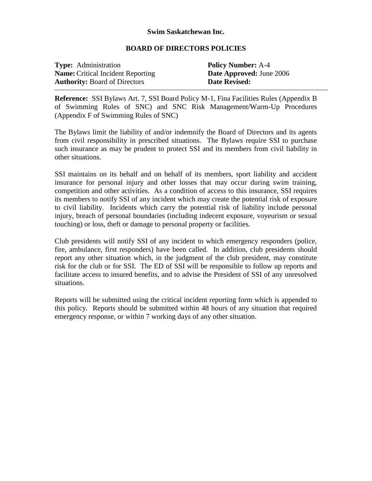## **Swim Saskatchewan Inc.**

## **BOARD OF DIRECTORS POLICIES**

| <b>Type:</b> Administration |                                          |
|-----------------------------|------------------------------------------|
|                             | <b>Name:</b> Critical Incident Reporting |
|                             | <b>Authority: Board of Directors</b>     |

**Policy Number:** A-4 **Date Approved: June 2006 Date Revised:** 

**Reference:** SSI Bylaws Art. 7, SSI Board Policy M-1, Fina Facilities Rules (Appendix B of Swimming Rules of SNC) and SNC Risk Management/Warm-Up Procedures (Appendix F of Swimming Rules of SNC)

The Bylaws limit the liability of and/or indemnify the Board of Directors and its agents from civil responsibility in prescribed situations. The Bylaws require SSI to purchase such insurance as may be prudent to protect SSI and its members from civil liability in other situations.

SSI maintains on its behalf and on behalf of its members, sport liability and accident insurance for personal injury and other losses that may occur during swim training, competition and other activities. As a condition of access to this insurance, SSI requires its members to notify SSI of any incident which may create the potential risk of exposure to civil liability. Incidents which carry the potential risk of liability include personal injury, breach of personal boundaries (including indecent exposure, voyeurism or sexual touching) or loss, theft or damage to personal property or facilities.

Club presidents will notify SSI of any incident to which emergency responders (police, fire, ambulance, first responders) have been called. In addition, club presidents should report any other situation which, in the judgment of the club president, may constitute risk for the club or for SSI. The ED of SSI will be responsible to follow up reports and facilitate access to insured benefits, and to advise the President of SSI of any unresolved situations.

Reports will be submitted using the critical incident reporting form which is appended to this policy. Reports should be submitted within 48 hours of any situation that required emergency response, or within 7 working days of any other situation.